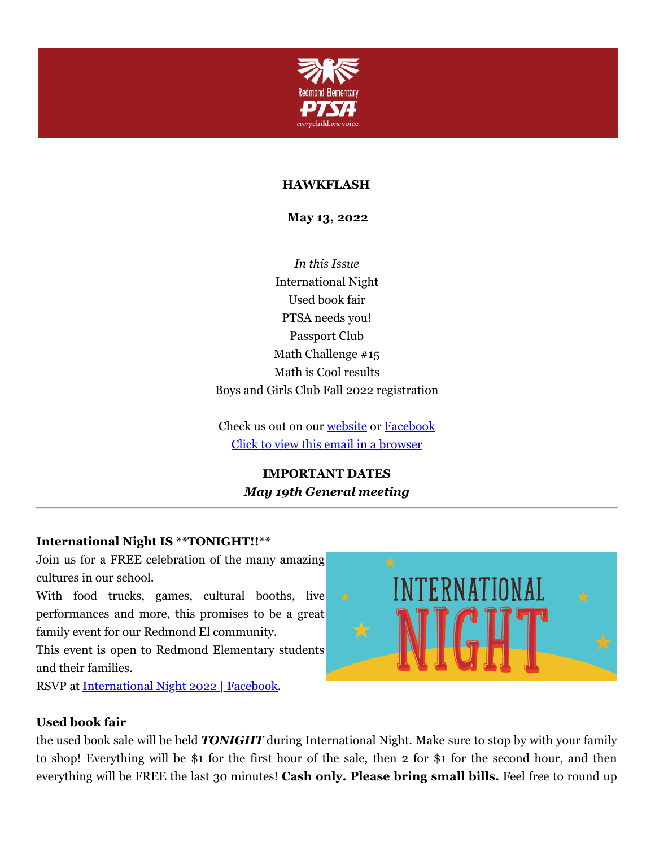

### **HAWKFLASH**

**May 13, 2022**

*In this Issue* International Night Used book fair PTSA needs you! Passport Club Math Challenge #15 Math is Cool results Boys and Girls Club Fall 2022 registration

Check us out on our [website](https://cts.vresp.com/c/?RedmondElementaryPTS/50117d0b2a/f55aa07e44/00fe783046) or [Facebook](https://cts.vresp.com/c/?RedmondElementaryPTS/50117d0b2a/f55aa07e44/fc7bac7562) Click to view this email in a [browser](http://hosted.verticalresponse.com/649438/50117d0b2a/TEST/TEST/)

> **IMPORTANT DATES** *May 19th General meeting*

#### **International Night IS \*\*TONIGHT!!\*\***

Join us for a FREE celebration of the many amazing cultures in our school.

With food trucks, games, cultural booths, live performances and more, this promises to be a great family event for our Redmond El community.

This event is open to Redmond Elementary students and their families.

RSVP at [International](https://cts.vresp.com/c/?RedmondElementaryPTS/50117d0b2a/f55aa07e44/3d2c6a7bc1/ref=newsfeed) Night 2022 | Facebook.



#### **Used book fair**

the used book sale will be held *TONIGHT* during International Night. Make sure to stop by with your family to shop! Everything will be \$1 for the first hour of the sale, then 2 for \$1 for the second hour, and then everything will be FREE the last 30 minutes! **Cash only. Please bring small bills.** Feel free to round up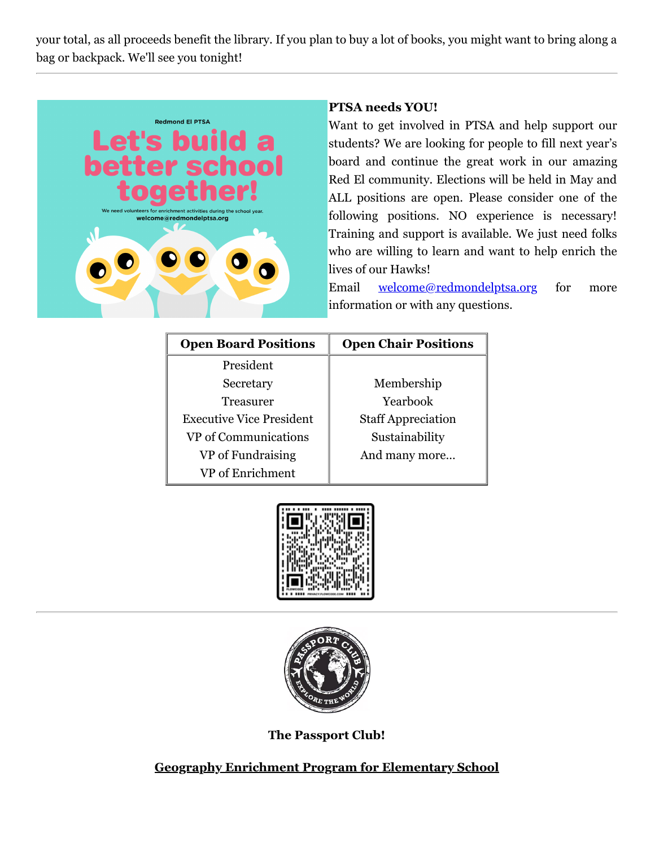your total, as all proceeds benefit the library. If you plan to buy a lot of books, you might want to bring along a bag or backpack. We'll see you tonight!



## **PTSA needs YOU!**

Want to get involved in PTSA and help support our students? We are looking for people to fill next year's board and continue the great work in our amazing Red El community. Elections will be held in May and ALL positions are open. Please consider one of the following positions. NO experience is necessary! Training and support is available. We just need folks who are willing to learn and want to help enrich the lives of our Hawks!

Email [welcome@redmondelptsa.org](mailto:welcome@redmondelptsa.org) for more information or with any questions.

| <b>Open Board Positions</b>     | <b>Open Chair Positions</b> |
|---------------------------------|-----------------------------|
| President                       |                             |
| Secretary                       | Membership                  |
| Treasurer                       | Yearbook                    |
| <b>Executive Vice President</b> | <b>Staff Appreciation</b>   |
| VP of Communications            | Sustainability              |
| VP of Fundraising               | And many more               |
| VP of Enrichment                |                             |





**The Passport Club!**

**Geography Enrichment Program for Elementary School**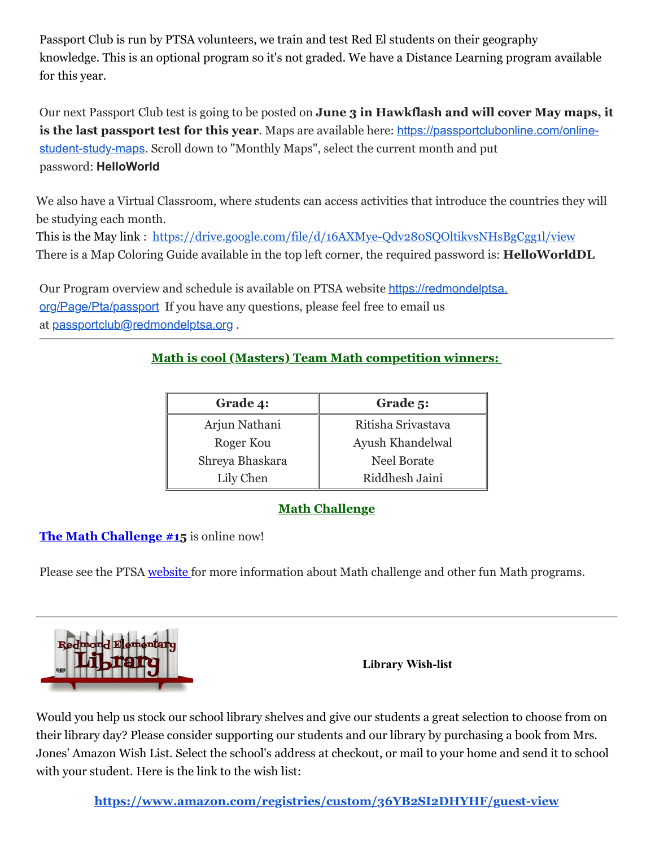Passport Club is run by PTSA volunteers, we train and test Red El students on their geography knowledge. This is an optional program so it's not graded. We have a Distance Learning program available for this year.

Our next Passport Club test is going to be posted on **June 3 in Hawkflash and will cover May maps, it is the last passport test for this year**. Maps are available here: [https://passportclubonline.com/online](https://cts.vresp.com/c/?RedmondElementaryPTS/65b6d7a2d1/ea73972d22/f55657df29)student-study-maps. Scroll down to "Monthly Maps", select the current month and put password: **HelloWorld**

We also have a Virtual Classroom, where students can access activities that introduce the countries they will be studying each month.

This is the May link : <https://drive.google.com/file/d/16AXMye-Qdv280SQOltikvsNHsBgCgg1l/view> There is a Map Coloring Guide available in the top left corner, the required password is: **HelloWorldDL**

Our Program overview and schedule is available on PTSA website https://redmondelptsa. [org/Page/Pta/passport](https://redmondelptsa.org/Page/Pta/passport) If you have any questions, please feel free to email us at [passportclub@redmondelptsa.org](mailto:passportclub@redmondelptsa.org) .

# **Math is cool (Masters) Team Math competition winners:**

| Grade 4:        | Grade 5:           |
|-----------------|--------------------|
| Arjun Nathani   | Ritisha Srivastava |
| Roger Kou       | Ayush Khandelwal   |
| Shreya Bhaskara | <b>Neel Borate</b> |
| Lily Chen       | Riddhesh Jaini     |

# **Math Challenge**

# **The Math [Challenge](https://cts.vresp.com/c/?RedmondElementaryPTS/50117d0b2a/f55aa07e44/e9ff490eb0) #15** is online now!

Please see the PTSA [website](https://cts.vresp.com/c/?RedmondElementaryPTS/50117d0b2a/f55aa07e44/11bb4d610b) for more information about Math challenge and other fun Math programs.



**Library Wish-list**

Would you help us stock our school library shelves and give our students a great selection to choose from on their library day? Please consider supporting our students and our library by purchasing a book from Mrs. Jones' Amazon Wish List. Select the school's address at checkout, or mail to your home and send it to school with your student. Here is the link to the wish list:

**<https://www.amazon.com/registries/custom/36YB2SI2DHYHF/guest-view>**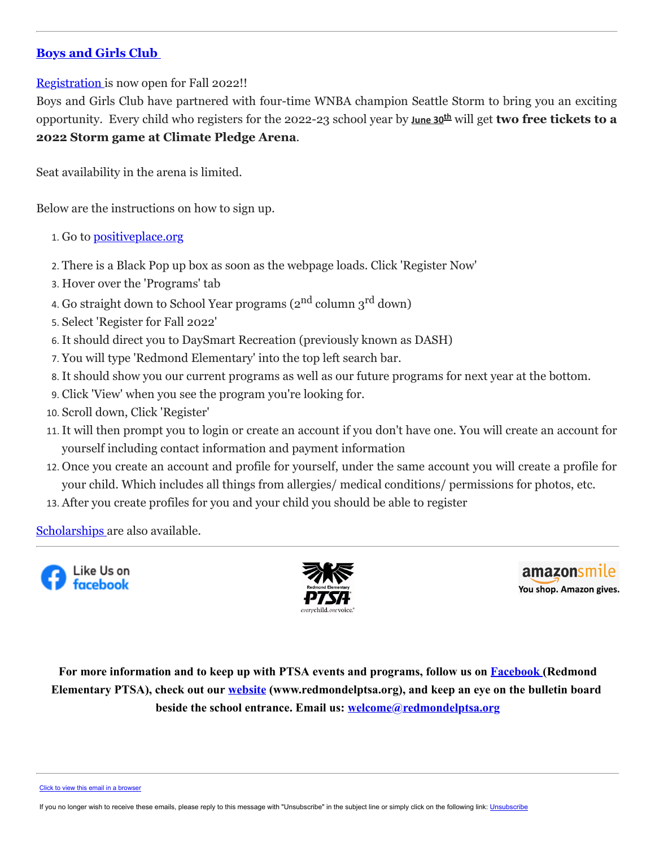### **Boys and [Girls Club](https://cts.vresp.com/c/?RedmondElementaryPTS/50117d0b2a/f55aa07e44/c762d22ba0)**

[Registration](https://cts.vresp.com/c/?RedmondElementaryPTS/50117d0b2a/f55aa07e44/3fab88e859) is now open for Fall 2022!!

Boys and Girls Club have partnered with four-time WNBA champion Seattle Storm to bring you an exciting opportunity. Every child who registers for the 2022-23 school year by **June 30th** will get **two free tickets to a 2022 Storm game at Climate Pledge Arena**.

Seat availability in the arena is limited.

Below are the instructions on how to sign up.

- 1. Go to [positiveplace.org](https://cts.vresp.com/c/?RedmondElementaryPTS/50117d0b2a/f55aa07e44/1417b023ad/url=https%3A%2F%2Fpositiveplace.org%2F&data=05%7C01%7Cascholes%40positiveplace.org%7C0341b55ac85b47e5f90b08da222e60ee%7C10bddbefa7bc43318abd75d1af02150a%7C0%7C0%7C637859879835644377%7CUnknown%7CTWFpbGZsb3d8eyJWIjoiMC4wLjAwMDAiLCJQIjoiV2luMzIiLCJBTiI6Ik1haWwiLCJXVCI6Mn0%3D%7C3000%7C%7C%7C&sdata=q%2BC%2BQNrsRbNlD1lj7DGwa5OvKUyMHE%2BTvSNPAdSZ1Wo%3D&reserved=0)
- 2. There is a Black Pop up box as soon as the webpage loads. Click 'Register Now'
- 3. Hover over the 'Programs' tab
- 4. Go straight down to School Year programs (2<sup>nd</sup> column 3<sup>rd</sup> down)
- 5. Select 'Register for Fall 2022'
- 6. It should direct you to DaySmart Recreation (previously known as DASH)
- 7. You will type 'Redmond Elementary' into the top left search bar.
- 8. It should show you our current programs as well as our future programs for next year at the bottom.
- 9. Click 'View' when you see the program you're looking for.
- 10. Scroll down, Click 'Register'
- 11. It will then prompt you to login or create an account if you don't have one. You will create an account for yourself including contact information and payment information
- 12. Once you create an account and profile for yourself, under the same account you will create a profile for your child. Which includes all things from allergies/ medical conditions/ permissions for photos, etc.
- 13. After you create profiles for you and your child you should be able to register

[Scholarships](https://cts.vresp.com/c/?RedmondElementaryPTS/50117d0b2a/f55aa07e44/f1020eb8cd) are also available.





amazonsmile You shop. Amazon gives.

**For more information and to keep up with PTSA events and programs, follow us on [Facebook](https://cts.vresp.com/c/?RedmondElementaryPTS/50117d0b2a/f55aa07e44/334c5130eb) (Redmond Elementary PTSA), check out our [website](https://cts.vresp.com/c/?RedmondElementaryPTS/50117d0b2a/f55aa07e44/a1ba9236e3) (www.redmondelptsa.org), and keep an eye on the bulletin board beside the school entrance. Email us: [welcome@redmondelptsa.org](mailto:welcome@redmondelptsa.org)**

[Click to view this email in a browser](http://hosted.verticalresponse.com/649438/50117d0b2a/TEST/TEST/)